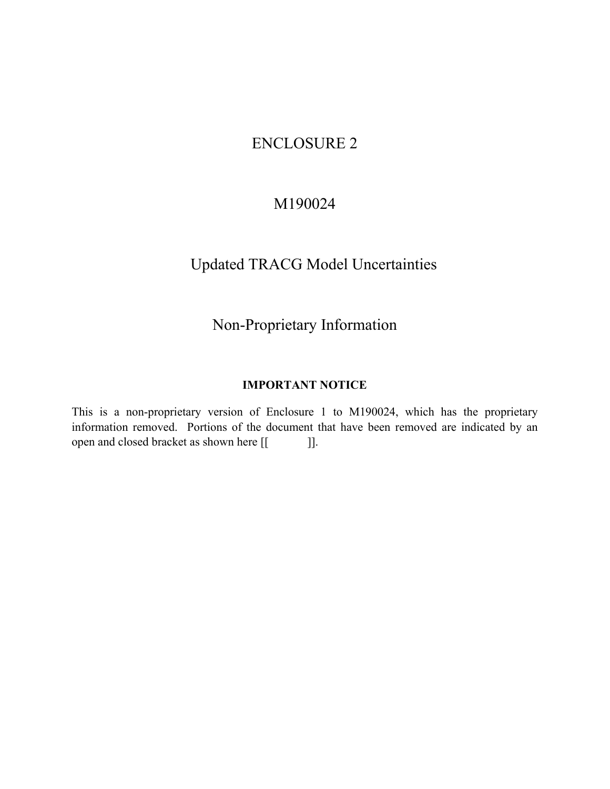# ENCLOSURE 2

## M190024

# Updated TRACG Model Uncertainties

# Non-Proprietary Information

## **IMPORTANT NOTICE**

This is a non-proprietary version of Enclosure 1 to M190024, which has the proprietary information removed. Portions of the document that have been removed are indicated by an open and closed bracket as shown here [[ ]].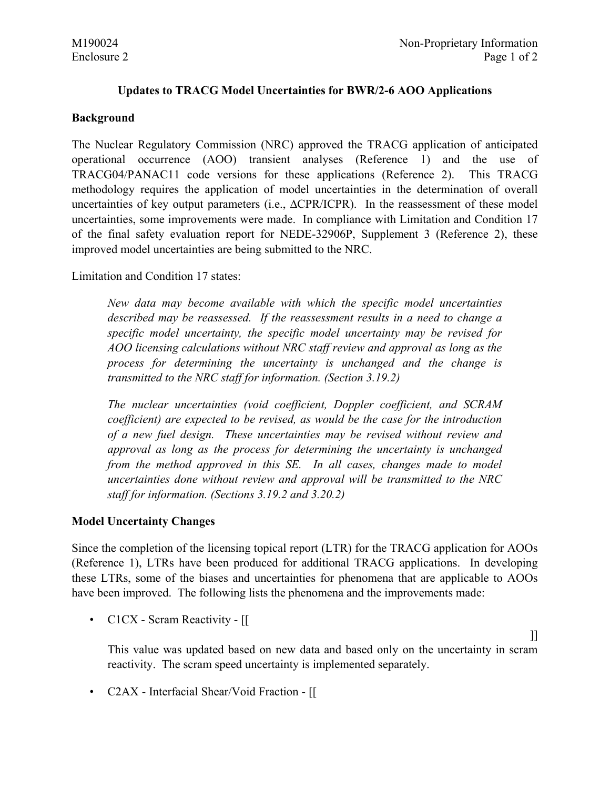### **Updates to TRACG Model Uncertainties for BWR/2-6 AOO Applications**

#### **Background**

The Nuclear Regulatory Commission (NRC) approved the TRACG application of anticipated operational occurrence (AOO) transient analyses (Reference 1) and the use of TRACG04/PANAC11 code versions for these applications (Reference 2). This TRACG methodology requires the application of model uncertainties in the determination of overall uncertainties of key output parameters (i.e.,  $\triangle$ CPR/ICPR). In the reassessment of these model uncertainties, some improvements were made. In compliance with Limitation and Condition 17 of the final safety evaluation report for NEDE-32906P, Supplement 3 (Reference 2), these improved model uncertainties are being submitted to the NRC.

Limitation and Condition 17 states:

*New data may become available with which the specific model uncertainties described may be reassessed. If the reassessment results in a need to change a specific model uncertainty, the specific model uncertainty may be revised for AOO licensing calculations without NRC staff review and approval as long as the process for determining the uncertainty is unchanged and the change is transmitted to the NRC staff for information. (Section 3.19.2)* 

*The nuclear uncertainties (void coefficient, Doppler coefficient, and SCRAM coefficient) are expected to be revised, as would be the case for the introduction of a new fuel design. These uncertainties may be revised without review and approval as long as the process for determining the uncertainty is unchanged from the method approved in this SE. In all cases, changes made to model uncertainties done without review and approval will be transmitted to the NRC staff for information. (Sections 3.19.2 and 3.20.2)* 

#### **Model Uncertainty Changes**

Since the completion of the licensing topical report (LTR) for the TRACG application for AOOs (Reference 1), LTRs have been produced for additional TRACG applications. In developing these LTRs, some of the biases and uncertainties for phenomena that are applicable to AOOs have been improved. The following lists the phenomena and the improvements made:

• C1CX - Scram Reactivity - [[

This value was updated based on new data and based only on the uncertainty in scram reactivity. The scram speed uncertainty is implemented separately.

 $\prod$ 

• C2AX - Interfacial Shear/Void Fraction - [[